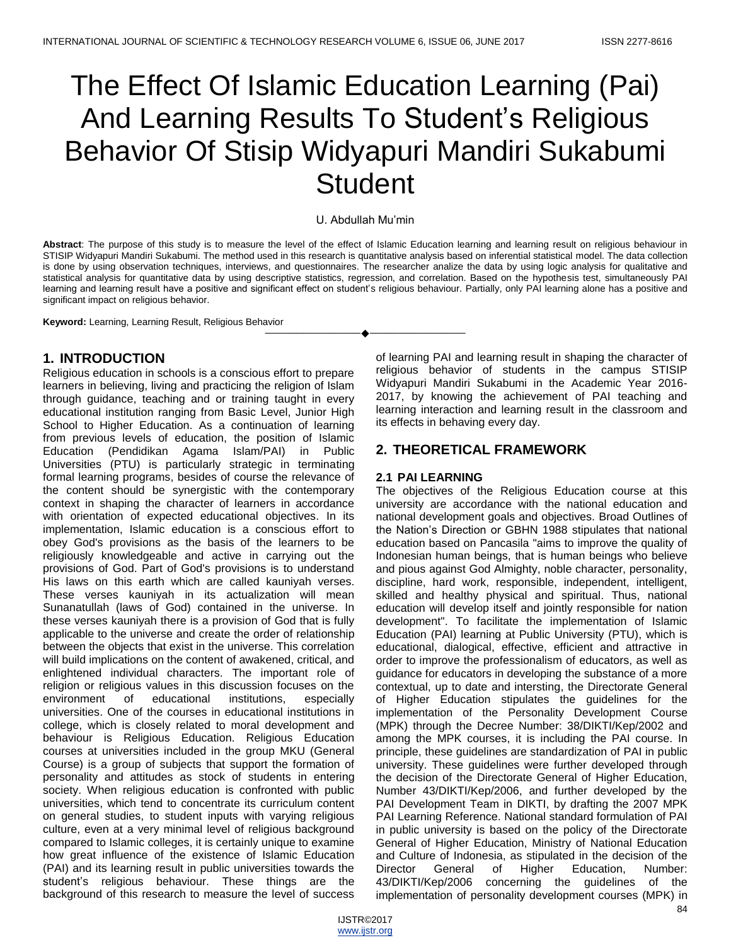# The Effect Of Islamic Education Learning (Pai) And Learning Results To Student's Religious Behavior Of Stisip Widyapuri Mandiri Sukabumi **Student**

#### U. Abdullah Mu'min

**Abstract**: The purpose of this study is to measure the level of the effect of Islamic Education learning and learning result on religious behaviour in STISIP Widyapuri Mandiri Sukabumi. The method used in this research is quantitative analysis based on inferential statistical model. The data collection is done by using observation techniques, interviews, and questionnaires. The researcher analize the data by using logic analysis for qualitative and statistical analysis for quantitative data by using descriptive statistics, regression, and correlation. Based on the hypothesis test, simultaneously PAI learning and learning result have a positive and significant effect on student's religious behaviour. Partially, only PAI learning alone has a positive and significant impact on religious behavior.

————————————————————

**Keyword:** Learning, Learning Result, Religious Behavior

## **1. INTRODUCTION**

Religious education in schools is a conscious effort to prepare learners in believing, living and practicing the religion of Islam through guidance, teaching and or training taught in every educational institution ranging from Basic Level, Junior High School to Higher Education. As a continuation of learning from previous levels of education, the position of Islamic Education (Pendidikan Agama Islam/PAI) in Public Universities (PTU) is particularly strategic in terminating formal learning programs, besides of course the relevance of the content should be synergistic with the contemporary context in shaping the character of learners in accordance with orientation of expected educational objectives. In its implementation, Islamic education is a conscious effort to obey God's provisions as the basis of the learners to be religiously knowledgeable and active in carrying out the provisions of God. Part of God's provisions is to understand His laws on this earth which are called kauniyah verses. These verses kauniyah in its actualization will mean Sunanatullah (laws of God) contained in the universe. In these verses kauniyah there is a provision of God that is fully applicable to the universe and create the order of relationship between the objects that exist in the universe. This correlation will build implications on the content of awakened, critical, and enlightened individual characters. The important role of religion or religious values in this discussion focuses on the environment of educational institutions, especially universities. One of the courses in educational institutions in college, which is closely related to moral development and behaviour is Religious Education. Religious Education courses at universities included in the group MKU (General Course) is a group of subjects that support the formation of personality and attitudes as stock of students in entering society. When religious education is confronted with public universities, which tend to concentrate its curriculum content on general studies, to student inputs with varying religious culture, even at a very minimal level of religious background compared to Islamic colleges, it is certainly unique to examine how great influence of the existence of Islamic Education (PAI) and its learning result in public universities towards the student's religious behaviour. These things are the background of this research to measure the level of success

of learning PAI and learning result in shaping the character of religious behavior of students in the campus STISIP Widyapuri Mandiri Sukabumi in the Academic Year 2016- 2017, by knowing the achievement of PAI teaching and learning interaction and learning result in the classroom and its effects in behaving every day.

# **2. THEORETICAL FRAMEWORK**

### **2.1 PAI LEARNING**

The objectives of the Religious Education course at this university are accordance with the national education and national development goals and objectives. Broad Outlines of the Nation's Direction or GBHN 1988 stipulates that national education based on Pancasila "aims to improve the quality of Indonesian human beings, that is human beings who believe and pious against God Almighty, noble character, personality, discipline, hard work, responsible, independent, intelligent, skilled and healthy physical and spiritual. Thus, national education will develop itself and jointly responsible for nation development". To facilitate the implementation of Islamic Education (PAI) learning at Public University (PTU), which is educational, dialogical, effective, efficient and attractive in order to improve the professionalism of educators, as well as guidance for educators in developing the substance of a more contextual, up to date and intersting, the Directorate General of Higher Education stipulates the guidelines for the implementation of the Personality Development Course (MPK) through the Decree Number: 38/DIKTI/Kep/2002 and among the MPK courses, it is including the PAI course. In principle, these guidelines are standardization of PAI in public university. These guidelines were further developed through the decision of the Directorate General of Higher Education, Number 43/DIKTI/Kep/2006, and further developed by the PAI Development Team in DIKTI, by drafting the 2007 MPK PAI Learning Reference. National standard formulation of PAI in public university is based on the policy of the Directorate General of Higher Education, Ministry of National Education and Culture of Indonesia, as stipulated in the decision of the Director General of Higher Education, Number: 43/DIKTI/Kep/2006 concerning the guidelines of the implementation of personality development courses (MPK) in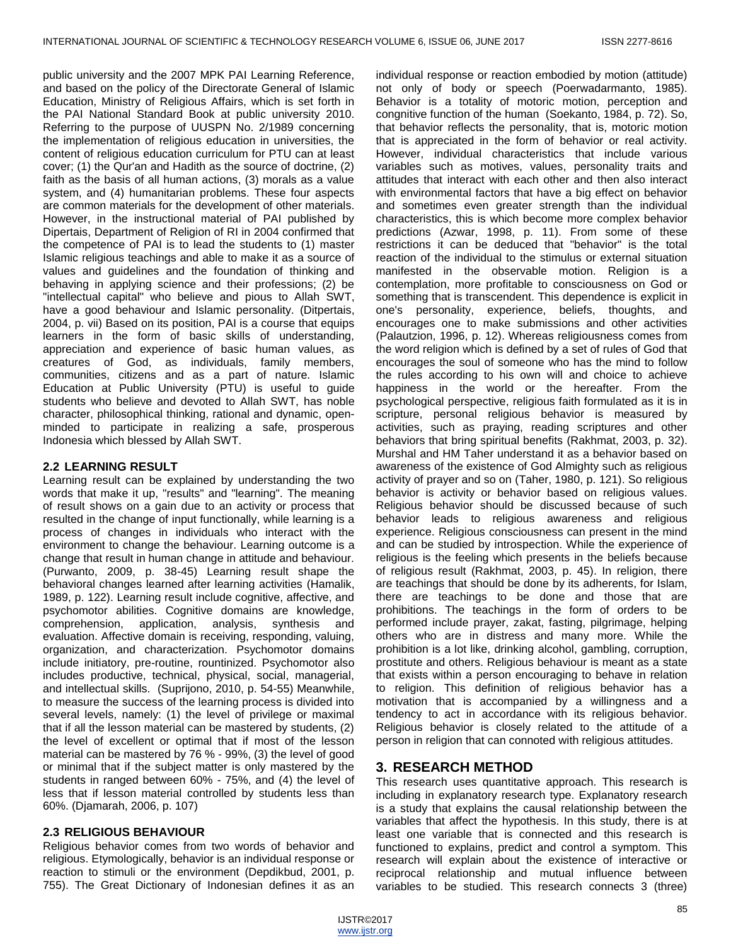public university and the 2007 MPK PAI Learning Reference, and based on the policy of the Directorate General of Islamic Education, Ministry of Religious Affairs, which is set forth in the PAI National Standard Book at public university 2010. Referring to the purpose of UUSPN No. 2/1989 concerning the implementation of religious education in universities, the content of religious education curriculum for PTU can at least cover; (1) the Qur'an and Hadith as the source of doctrine, (2) faith as the basis of all human actions, (3) morals as a value system, and (4) humanitarian problems. These four aspects are common materials for the development of other materials. However, in the instructional material of PAI published by Dipertais, Department of Religion of RI in 2004 confirmed that the competence of PAI is to lead the students to (1) master Islamic religious teachings and able to make it as a source of values and guidelines and the foundation of thinking and behaving in applying science and their professions; (2) be "intellectual capital" who believe and pious to Allah SWT, have a good behaviour and Islamic personality. (Ditpertais, 2004, p. vii) Based on its position, PAI is a course that equips learners in the form of basic skills of understanding, appreciation and experience of basic human values, as creatures of God, as individuals, family members, communities, citizens and as a part of nature. Islamic Education at Public University (PTU) is useful to guide students who believe and devoted to Allah SWT, has noble character, philosophical thinking, rational and dynamic, openminded to participate in realizing a safe, prosperous Indonesia which blessed by Allah SWT.

### **2.2 LEARNING RESULT**

Learning result can be explained by understanding the two words that make it up, "results" and "learning". The meaning of result shows on a gain due to an activity or process that resulted in the change of input functionally, while learning is a process of changes in individuals who interact with the environment to change the behaviour. Learning outcome is a change that result in human change in attitude and behaviour. (Purwanto, 2009, p. 38-45) Learning result shape the behavioral changes learned after learning activities (Hamalik, 1989, p. 122). Learning result include cognitive, affective, and psychomotor abilities. Cognitive domains are knowledge, comprehension, application, analysis, synthesis and evaluation. Affective domain is receiving, responding, valuing, organization, and characterization. Psychomotor domains include initiatory, pre-routine, rountinized. Psychomotor also includes productive, technical, physical, social, managerial, and intellectual skills. (Suprijono, 2010, p. 54-55) Meanwhile, to measure the success of the learning process is divided into several levels, namely: (1) the level of privilege or maximal that if all the lesson material can be mastered by students, (2) the level of excellent or optimal that if most of the lesson material can be mastered by 76 % - 99%, (3) the level of good or minimal that if the subject matter is only mastered by the students in ranged between 60% - 75%, and (4) the level of less that if lesson material controlled by students less than 60%. (Djamarah, 2006, p. 107)

## **2.3 RELIGIOUS BEHAVIOUR**

Religious behavior comes from two words of behavior and religious. Etymologically, behavior is an individual response or reaction to stimuli or the environment (Depdikbud, 2001, p. 755). The Great Dictionary of Indonesian defines it as an

individual response or reaction embodied by motion (attitude) not only of body or speech (Poerwadarmanto, 1985). Behavior is a totality of motoric motion, perception and congnitive function of the human (Soekanto, 1984, p. 72). So, that behavior reflects the personality, that is, motoric motion that is appreciated in the form of behavior or real activity. However, individual characteristics that include various variables such as motives, values, personality traits and attitudes that interact with each other and then also interact with environmental factors that have a big effect on behavior and sometimes even greater strength than the individual characteristics, this is which become more complex behavior predictions (Azwar, 1998, p. 11). From some of these restrictions it can be deduced that "behavior" is the total reaction of the individual to the stimulus or external situation manifested in the observable motion. Religion is a contemplation, more profitable to consciousness on God or something that is transcendent. This dependence is explicit in one's personality, experience, beliefs, thoughts, and encourages one to make submissions and other activities (Palautzion, 1996, p. 12). Whereas religiousness comes from the word religion which is defined by a set of rules of God that encourages the soul of someone who has the mind to follow the rules according to his own will and choice to achieve happiness in the world or the hereafter. From the psychological perspective, religious faith formulated as it is in scripture, personal religious behavior is measured by activities, such as praying, reading scriptures and other behaviors that bring spiritual benefits (Rakhmat, 2003, p. 32). Murshal and HM Taher understand it as a behavior based on awareness of the existence of God Almighty such as religious activity of prayer and so on (Taher, 1980, p. 121). So religious behavior is activity or behavior based on religious values. Religious behavior should be discussed because of such behavior leads to religious awareness and religious experience. Religious consciousness can present in the mind and can be studied by introspection. While the experience of religious is the feeling which presents in the beliefs because of religious result (Rakhmat, 2003, p. 45). In religion, there are teachings that should be done by its adherents, for Islam, there are teachings to be done and those that are prohibitions. The teachings in the form of orders to be performed include prayer, zakat, fasting, pilgrimage, helping others who are in distress and many more. While the prohibition is a lot like, drinking alcohol, gambling, corruption, prostitute and others. Religious behaviour is meant as a state that exists within a person encouraging to behave in relation to religion. This definition of religious behavior has a motivation that is accompanied by a willingness and a tendency to act in accordance with its religious behavior. Religious behavior is closely related to the attitude of a person in religion that can connoted with religious attitudes.

## **3. RESEARCH METHOD**

This research uses quantitative approach. This research is including in explanatory research type. Explanatory research is a study that explains the causal relationship between the variables that affect the hypothesis. In this study, there is at least one variable that is connected and this research is functioned to explains, predict and control a symptom. This research will explain about the existence of interactive or reciprocal relationship and mutual influence between variables to be studied. This research connects 3 (three)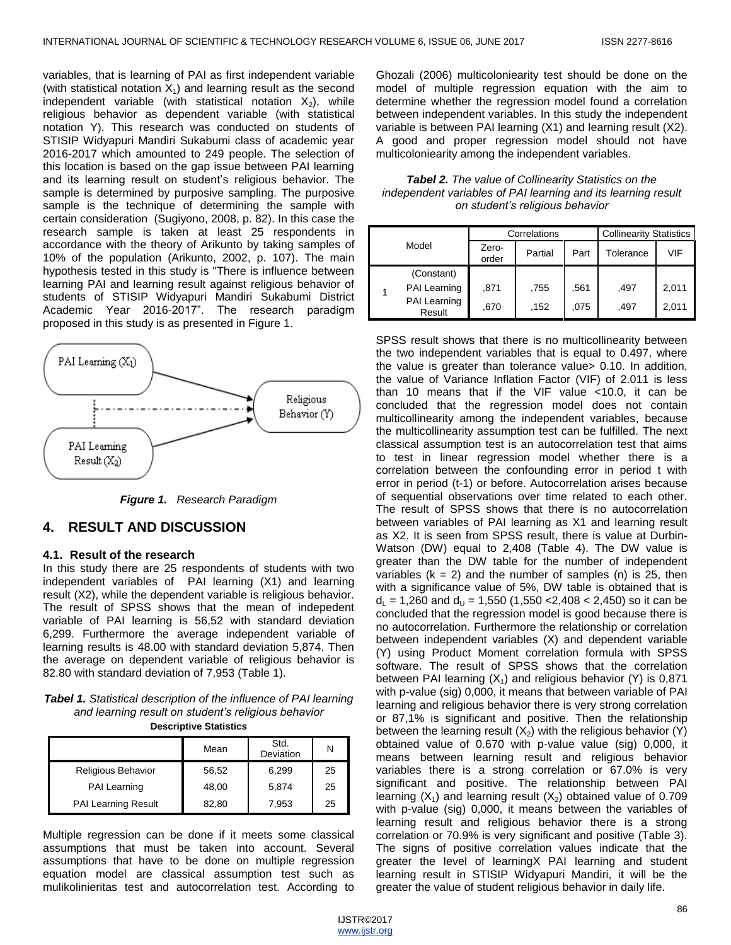variables, that is learning of PAI as first independent variable (with statistical notation  $X_1$ ) and learning result as the second independent variable (with statistical notation  $X_2$ ), while religious behavior as dependent variable (with statistical notation Y). This research was conducted on students of STISIP Widyapuri Mandiri Sukabumi class of academic year 2016-2017 which amounted to 249 people. The selection of this location is based on the gap issue between PAI learning and its learning result on student's religious behavior. The sample is determined by purposive sampling. The purposive sample is the technique of determining the sample with certain consideration (Sugiyono, 2008, p. 82). In this case the research sample is taken at least 25 respondents in accordance with the theory of Arikunto by taking samples of 10% of the population (Arikunto, 2002, p. 107). The main hypothesis tested in this study is "There is influence between learning PAI and learning result against religious behavior of students of STISIP Widyapuri Mandiri Sukabumi District Academic Year 2016-2017". The research paradigm proposed in this study is as presented in Figure 1.



*Figure 1. Research Paradigm*

## **4. RESULT AND DISCUSSION**

#### **4.1. Result of the research**

In this study there are 25 respondents of students with two independent variables of PAI learning (X1) and learning result (X2), while the dependent variable is religious behavior. The result of SPSS shows that the mean of indepedent variable of PAI learning is 56,52 with standard deviation 6,299. Furthermore the average independent variable of learning results is 48.00 with standard deviation 5,874. Then the average on dependent variable of religious behavior is 82.80 with standard deviation of 7,953 (Table 1).

*Tabel 1. Statistical description of the influence of PAI learning and learning result on student's religious behavior* **Descriptive Statistics**

|                            | ------------------ |                   |    |
|----------------------------|--------------------|-------------------|----|
|                            | Mean               | Std.<br>Deviation | N  |
| <b>Religious Behavior</b>  | 56,52              | 6.299             | 25 |
| PAI Learning               | 48,00              | 5,874             | 25 |
| <b>PAI Learning Result</b> | 82,80              | 7.953             | 25 |

Multiple regression can be done if it meets some classical assumptions that must be taken into account. Several assumptions that have to be done on multiple regression equation model are classical assumption test such as mulikolinieritas test and autocorrelation test. According to Ghozali (2006) multicoloniearity test should be done on the model of multiple regression equation with the aim to determine whether the regression model found a correlation between independent variables. In this study the independent variable is between PAI learning (X1) and learning result (X2). A good and proper regression model should not have multicoloniearity among the independent variables.

*Tabel 2. The value of Collinearity Statistics on the independent variables of PAI learning and its learning result on student's religious behavior*

| Model |                        | Correlations   |         |      | <b>Collinearity Statistics</b> |       |  |
|-------|------------------------|----------------|---------|------|--------------------------------|-------|--|
|       |                        | Zero-<br>order | Partial | Part | Tolerance                      | VIF   |  |
|       | (Constant)             |                |         |      |                                |       |  |
|       | PAI Learning           | .871           | .755    | .561 | .497                           | 2,011 |  |
|       | PAI Learning<br>Result | .670           | .152    | .075 | .497                           | 2.011 |  |

SPSS result shows that there is no multicollinearity between the two independent variables that is equal to 0.497, where the value is greater than tolerance value> 0.10. In addition, the value of Variance Inflation Factor (VIF) of 2.011 is less than 10 means that if the VIF value <10.0, it can be concluded that the regression model does not contain multicollinearity among the independent variables, because the multicollinearity assumption test can be fulfilled. The next classical assumption test is an autocorrelation test that aims to test in linear regression model whether there is a correlation between the confounding error in period t with error in period (t-1) or before. Autocorrelation arises because of sequential observations over time related to each other. The result of SPSS shows that there is no autocorrelation between variables of PAI learning as X1 and learning result as X2. It is seen from SPSS result, there is value at Durbin-Watson (DW) equal to 2,408 (Table 4). The DW value is greater than the DW table for the number of independent variables ( $k = 2$ ) and the number of samples (n) is 25, then with a significance value of 5%, DW table is obtained that is  $d_{\text{L}}$  = 1,260 and  $d_{\text{U}}$  = 1,550 (1,550 < 2,408 < 2,450) so it can be concluded that the regression model is good because there is no autocorrelation. Furthermore the relationship or correlation between independent variables (X) and dependent variable (Y) using Product Moment correlation formula with SPSS software. The result of SPSS shows that the correlation between PAI learning  $(X_1)$  and religious behavior (Y) is 0,871 with p-value (sig) 0,000, it means that between variable of PAI learning and religious behavior there is very strong correlation or 87,1% is significant and positive. Then the relationship between the learning result  $(X_2)$  with the religious behavior (Y) obtained value of 0.670 with p-value value (sig) 0,000, it means between learning result and religious behavior variables there is a strong correlation or 67.0% is very significant and positive. The relationship between PAI learning  $(X_1)$  and learning result  $(X_2)$  obtained value of 0.709 with p-value (sig) 0,000, it means between the variables of learning result and religious behavior there is a strong correlation or 70.9% is very significant and positive (Table 3). The signs of positive correlation values indicate that the greater the level of learningX PAI learning and student learning result in STISIP Widyapuri Mandiri, it will be the greater the value of student religious behavior in daily life.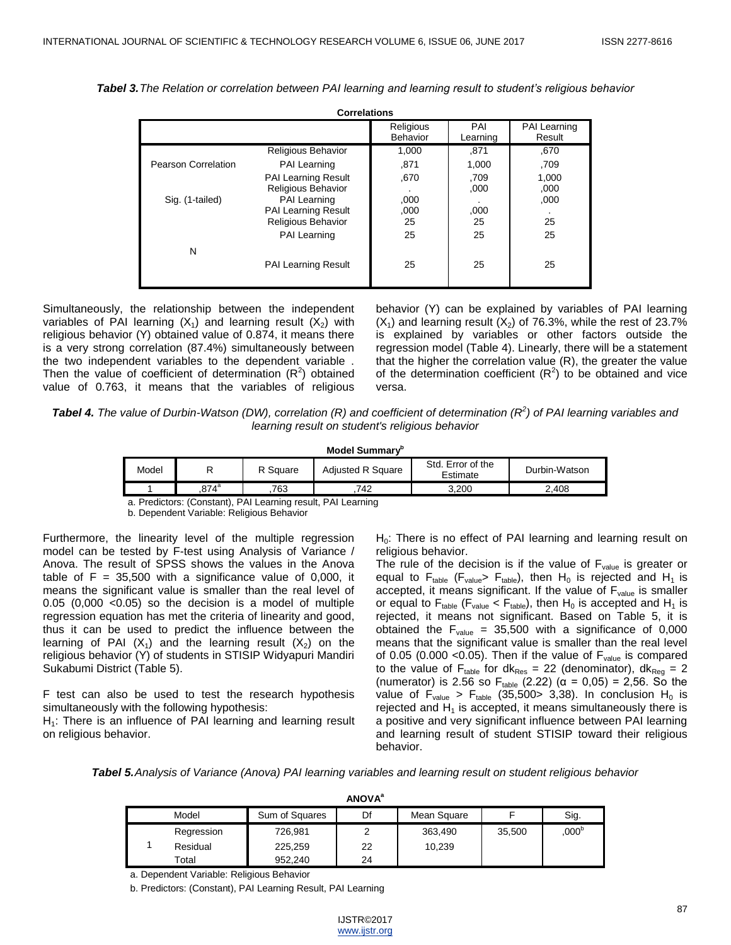| <b>Correlations</b> |                                                                                                                                                    |                                  |                                  |                                   |  |  |  |
|---------------------|----------------------------------------------------------------------------------------------------------------------------------------------------|----------------------------------|----------------------------------|-----------------------------------|--|--|--|
|                     |                                                                                                                                                    | Religious<br><b>Behavior</b>     | PAI<br>Learning                  | <b>PAI Learning</b><br>Result     |  |  |  |
|                     | <b>Religious Behavior</b>                                                                                                                          | 1,000                            | .871                             | .670                              |  |  |  |
| Pearson Correlation | PAI Learning                                                                                                                                       | .871                             | 1,000                            | ,709                              |  |  |  |
| Sig. (1-tailed)     | <b>PAI Learning Result</b><br><b>Religious Behavior</b><br>PAI Learning<br><b>PAI Learning Result</b><br><b>Religious Behavior</b><br>PAI Learning | .670<br>,000<br>,000<br>25<br>25 | .709<br>,000<br>,000<br>25<br>25 | 1,000<br>,000<br>,000<br>25<br>25 |  |  |  |
| N                   | <b>PAI Learning Result</b>                                                                                                                         | 25                               | 25                               | 25                                |  |  |  |

*Tabel 3.The Relation or correlation between PAI learning and learning result to student's religious behavior*

Simultaneously, the relationship between the independent variables of PAI learning  $(X_1)$  and learning result  $(X_2)$  with religious behavior (Y) obtained value of 0.874, it means there is a very strong correlation (87.4%) simultaneously between the two independent variables to the dependent variable . Then the value of coefficient of determination  $(R^2)$  obtained value of 0.763, it means that the variables of religious

behavior (Y) can be explained by variables of PAI learning  $(X_1)$  and learning result  $(X_2)$  of 76.3%, while the rest of 23.7% is explained by variables or other factors outside the regression model (Table 4). Linearly, there will be a statement that the higher the correlation value (R), the greater the value of the determination coefficient  $(R^2)$  to be obtained and vice versa.

| <b>Tabel 4.</b> The value of Durbin-Watson (DW), correlation (R) and coefficient of determination ( $R^2$ ) of PAI learning variables and |
|-------------------------------------------------------------------------------------------------------------------------------------------|
| learning result on student's religious behavior                                                                                           |

| Model Summarv <sup>o</sup> |          |          |                          |                               |               |  |
|----------------------------|----------|----------|--------------------------|-------------------------------|---------------|--|
| Model                      |          | R Square | <b>Adiusted R Square</b> | Std. Error of the<br>Estimate | Durbin-Watson |  |
|                            | $.874^a$ | 763      | 742.                     | 3.200                         | 2.408         |  |

a. Predictors: (Constant), PAI Learning result, PAI Learning

b. Dependent Variable: Religious Behavior

Furthermore, the linearity level of the multiple regression model can be tested by F-test using Analysis of Variance / Anova. The result of SPSS shows the values in the Anova table of  $F = 35,500$  with a significance value of 0,000, it means the significant value is smaller than the real level of 0.05 (0,000 <0.05) so the decision is a model of multiple regression equation has met the criteria of linearity and good, thus it can be used to predict the influence between the learning of PAI  $(X_1)$  and the learning result  $(X_2)$  on the religious behavior (Y) of students in STISIP Widyapuri Mandiri Sukabumi District (Table 5).

F test can also be used to test the research hypothesis simultaneously with the following hypothesis:

 $H<sub>1</sub>$ : There is an influence of PAI learning and learning result on religious behavior.

 $H<sub>0</sub>$ : There is no effect of PAI learning and learning result on religious behavior.

The rule of the decision is if the value of  $F_{value}$  is greater or equal to  $F_{table}$  ( $F_{value}$ >  $F_{table}$ ), then  $H_0$  is rejected and  $H_1$  is accepted, it means significant. If the value of F<sub>value</sub> is smaller or equal to  $F_{table}$  ( $F_{value}$  <  $F_{table}$ ), then  $H_0$  is accepted and  $H_1$  is rejected, it means not significant. Based on Table 5, it is obtained the  $F_{value} = 35,500$  with a significance of 0,000 means that the significant value is smaller than the real level of 0.05 (0.000 < 0.05). Then if the value of  $F_{value}$  is compared to the value of  $F_{table}$  for dk<sub>Res</sub> = 22 (denominator), dk<sub>Reg</sub> = 2 (numerator) is 2.56 so F<sub>table</sub> (2.22) ( $\alpha$  = 0,05) = 2,56. So the value of  $F_{value} > F_{table}$  (35,500> 3,38). In conclusion H<sub>0</sub> is rejected and  $H_1$  is accepted, it means simultaneously there is a positive and very significant influence between PAI learning and learning result of student STISIP toward their religious behavior.

*Tabel 5.Analysis of Variance (Anova) PAI learning variables and learning result on student religious behavior*

| <b>ANUVA</b> |            |                |    |             |        |                  |  |  |
|--------------|------------|----------------|----|-------------|--------|------------------|--|--|
|              | Model      | Sum of Squares | Df | Mean Square |        | Sig.             |  |  |
|              | Regression | 726,981        |    | 363,490     | 35,500 | 000 <sup>b</sup> |  |  |
|              | Residual   | 225,259        | 22 | 10,239      |        |                  |  |  |
|              | Total      | 952.240        | 24 |             |        |                  |  |  |

**ANOVA<sup>a</sup>**

a. Dependent Variable: Religious Behavior

b. Predictors: (Constant), PAI Learning Result, PAI Learning

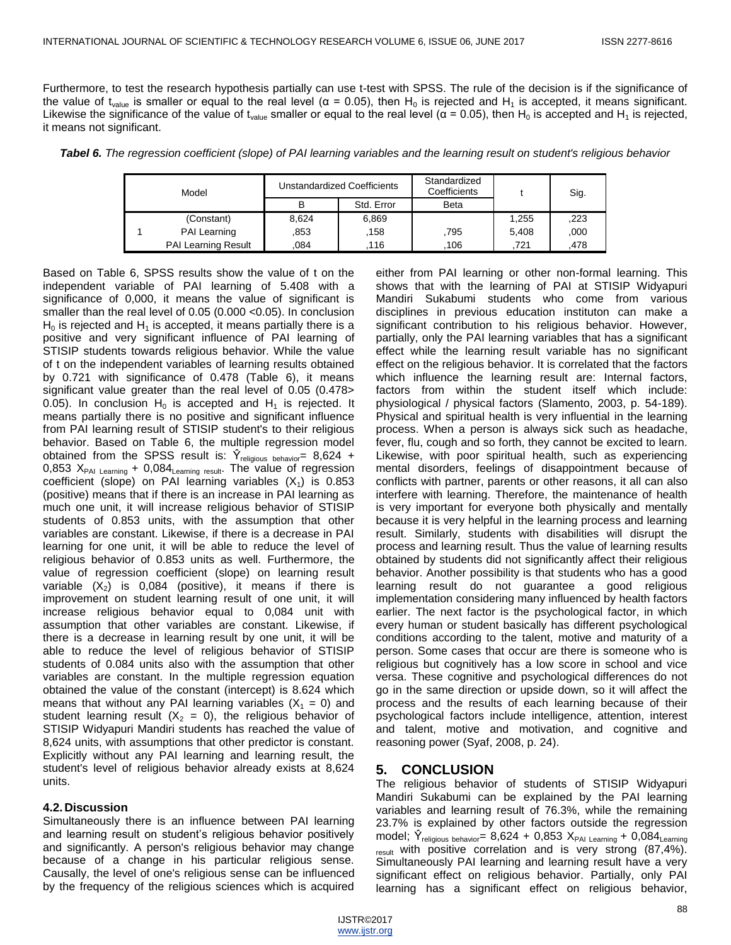Furthermore, to test the research hypothesis partially can use t-test with SPSS. The rule of the decision is if the significance of the value of t<sub>value</sub> is smaller or equal to the real level ( $\alpha$  = 0.05), then H<sub>0</sub> is rejected and H<sub>1</sub> is accepted, it means significant. Likewise the significance of the value of t<sub>value</sub> smaller or equal to the real level ( $\alpha$  = 0.05), then H<sub>0</sub> is accepted and H<sub>1</sub> is rejected, it means not significant.

*Tabel 6. The regression coefficient (slope) of PAI learning variables and the learning result on student's religious behavior*

| Model |                            | Unstandardized Coefficients |            | Standardized<br>Coefficients |       | Sig. |
|-------|----------------------------|-----------------------------|------------|------------------------------|-------|------|
|       |                            |                             | Std. Error | <b>Beta</b>                  |       |      |
|       | (Constant)                 | 8,624                       | 6,869      |                              | 1,255 | ,223 |
|       | PAI Learning               | .853                        | .158       | .795                         | 5.408 | .000 |
|       | <b>PAI Learning Result</b> | .084                        | 116        | 106                          | 721   | .478 |

Based on Table 6, SPSS results show the value of t on the independent variable of PAI learning of 5.408 with a significance of 0,000, it means the value of significant is smaller than the real level of 0.05 (0.000 <0.05). In conclusion  $H<sub>0</sub>$  is rejected and  $H<sub>1</sub>$  is accepted, it means partially there is a positive and very significant influence of PAI learning of STISIP students towards religious behavior. While the value of t on the independent variables of learning results obtained by 0.721 with significance of 0.478 (Table 6), it means significant value greater than the real level of 0.05 (0.478> 0.05). In conclusion  $H_0$  is accepted and  $H_1$  is rejected. It means partially there is no positive and significant influence from PAI learning result of STISIP student's to their religious behavior. Based on Table 6, the multiple regression model obtained from the SPSS result is:  $\hat{Y}_{\text{religious behavior}} = 8,624 +$ 0,853  $X_{PAI}$  Learning + 0,084 Learning result. The value of regression coefficient (slope) on PAI learning variables  $(X_1)$  is 0.853 (positive) means that if there is an increase in PAI learning as much one unit, it will increase religious behavior of STISIP students of 0.853 units, with the assumption that other variables are constant. Likewise, if there is a decrease in PAI learning for one unit, it will be able to reduce the level of religious behavior of 0.853 units as well. Furthermore, the value of regression coefficient (slope) on learning result variable  $(X_2)$  is 0,084 (positive), it means if there is improvement on student learning result of one unit, it will increase religious behavior equal to 0,084 unit with assumption that other variables are constant. Likewise, if there is a decrease in learning result by one unit, it will be able to reduce the level of religious behavior of STISIP students of 0.084 units also with the assumption that other variables are constant. In the multiple regression equation obtained the value of the constant (intercept) is 8.624 which means that without any PAI learning variables  $(X_1 = 0)$  and student learning result  $(X_2 = 0)$ , the religious behavior of STISIP Widyapuri Mandiri students has reached the value of 8,624 units, with assumptions that other predictor is constant. Explicitly without any PAI learning and learning result, the student's level of religious behavior already exists at 8,624 units.

## **4.2. Discussion**

Simultaneously there is an influence between PAI learning and learning result on student's religious behavior positively and significantly. A person's religious behavior may change because of a change in his particular religious sense. Causally, the level of one's religious sense can be influenced by the frequency of the religious sciences which is acquired

either from PAI learning or other non-formal learning. This shows that with the learning of PAI at STISIP Widyapuri Mandiri Sukabumi students who come from various disciplines in previous education instituton can make a significant contribution to his religious behavior. However, partially, only the PAI learning variables that has a significant effect while the learning result variable has no significant effect on the religious behavior. It is correlated that the factors which influence the learning result are: Internal factors, factors from within the student itself which include: physiological / physical factors (Slamento, 2003, p. 54-189). Physical and spiritual health is very influential in the learning process. When a person is always sick such as headache, fever, flu, cough and so forth, they cannot be excited to learn. Likewise, with poor spiritual health, such as experiencing mental disorders, feelings of disappointment because of conflicts with partner, parents or other reasons, it all can also interfere with learning. Therefore, the maintenance of health is very important for everyone both physically and mentally because it is very helpful in the learning process and learning result. Similarly, students with disabilities will disrupt the process and learning result. Thus the value of learning results obtained by students did not significantly affect their religious behavior. Another possibility is that students who has a good learning result do not guarantee a good religious implementation considering many influenced by health factors earlier. The next factor is the psychological factor, in which every human or student basically has different psychological conditions according to the talent, motive and maturity of a person. Some cases that occur are there is someone who is religious but cognitively has a low score in school and vice versa. These cognitive and psychological differences do not go in the same direction or upside down, so it will affect the process and the results of each learning because of their psychological factors include intelligence, attention, interest and talent, motive and motivation, and cognitive and reasoning power (Syaf, 2008, p. 24).

## **5. CONCLUSION**

The religious behavior of students of STISIP Widyapuri Mandiri Sukabumi can be explained by the PAI learning variables and learning result of 76.3%, while the remaining 23.7% is explained by other factors outside the regression model;  $\hat{Y}_{\text{religious behavior}} = 8,624 + 0,853 X_{\text{PAI Learning}} + 0,084_{\text{Learning}}$  $_{result}$  with positive correlation and is very strong  $(87,4\%)$ . Simultaneously PAI learning and learning result have a very significant effect on religious behavior. Partially, only PAI learning has a significant effect on religious behavior,